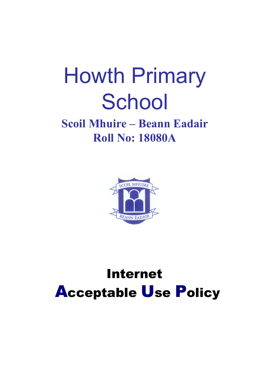# **Howth Primary** School

### **Scoil Mhuire – Beann Eadair Roll No: 18080A**



## **Internet Acceptable Use Policy**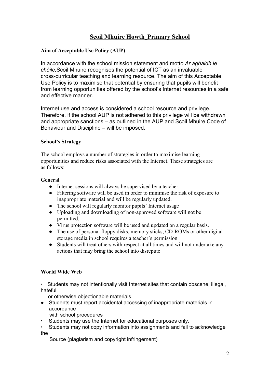#### **Scoil Mhuire Howth\_Primary School**

#### **Aim of Acceptable Use Policy (AUP)**

In accordance with the school mission statement and motto *Ar aghaidh le chéile,*Scoil Mhuire recognises the potential of ICT as an invaluable cross-curricular teaching and learning resource. The aim of this Acceptable Use Policy is to maximise that potential by ensuring that pupils will benefit from learning opportunities offered by the school's Internet resources in a safe and effective manner.

Internet use and access is considered a school resource and privilege. Therefore, if the school AUP is not adhered to this privilege will be withdrawn and appropriate sanctions – as outlined in the AUP and Scoil Mhuire Code of Behaviour and Discipline – will be imposed.

#### **School's Strategy**

The school employs a number of strategies in order to maximise learning opportunities and reduce risks associated with the Internet. These strategies are as follows:

#### **General**

- Internet sessions will always be supervised by a teacher.
- Filtering software will be used in order to minimise the risk of exposure to inappropriate material and will be regularly updated.
- The school will regularly monitor pupils' Internet usage
- Uploading and downloading of non-approved software will not be permitted.
- Virus protection software will be used and updated on a regular basis.
- The use of personal floppy disks, memory sticks, CD-ROMs or other digital storage media in school requires a teacher's permission
- Students will treat others with respect at all times and will not undertake any actions that may bring the school into disrepute

#### **World Wide Web**

∙ Students may not intentionally visit Internet sites that contain obscene, illegal, hateful

or otherwise objectionable materials.

- Students must report accidental accessing of inappropriate materials in accordance
	- with school procedures
- ∙ Students may use the Internet for educational purposes only.
- ∙ Students may not copy information into assignments and fail to acknowledge the

Source (plagiarism and copyright infringement)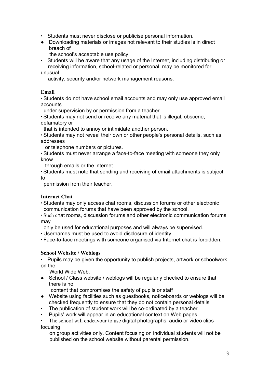- ∙ Students must never disclose or publicise personal information.
- Downloading materials or images not relevant to their studies is in direct breach of
	- the school's acceptable use policy
- ∙ Students will be aware that any usage of the Internet, including distributing or receiving information, school-related or personal, may be monitored for unusual
	- activity, security and/or network management reasons.

#### **Email**

∙ Students do not have school email accounts and may only use approved email accounts

under supervision by or permission from a teacher

∙ Students may not send or receive any material that is illegal, obscene, defamatory or

that is intended to annoy or intimidate another person.

∙ Students may not reveal their own or other people's personal details, such as addresses

or telephone numbers or pictures.

∙ Students must never arrange a face-to-face meeting with someone they only know

through emails or the internet

∙ Students must note that sending and receiving of email attachments is subject to

permission from their teacher.

#### **Internet Chat**

∙ Students may only access chat rooms, discussion forums or other electronic communication forums that have been approved by the school.

∙ Such chat rooms, discussion forums and other electronic communication forums may

only be used for educational purposes and will always be supervised.

∙ Usernames must be used to avoid disclosure of identity.

∙ Face-to-face meetings with someone organised via Internet chat is forbidden.

#### **School Website / Weblogs**

∙ Pupils may be given the opportunity to publish projects, artwork or schoolwork on the

World Wide Web.

● School / Class website / weblogs will be regularly checked to ensure that there is no

content that compromises the safety of pupils or staff

- Website using facilities such as guestbooks, noticeboards or weblogs will be checked frequently to ensure that they do not contain personal details
- ∙ The publication of student work will be co-ordinated by a teacher.
- ∙ Pupils' work will appear in an educational context on Web pages

The school will endeavour to use digital photographs, audio or video clips focusing

on group activities only. Content focusing on individual students will not be published on the school website without parental permission.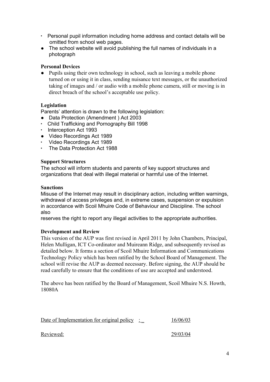- ∙ Personal pupil information including home address and contact details will be omitted from school web pages.
- The school website will avoid publishing the full names of individuals in a photograph

#### **Personal Devices**

• Pupils using their own technology in school, such as leaving a mobile phone turned on or using it in class, sending nuisance text messages, or the unauthorized taking of images and / or audio with a mobile phone camera, still or moving is in direct breach of the school's acceptable use policy.

#### **Legislation**

Parents' attention is drawn to the following legislation:

- Data Protection (Amendment ) Act 2003
- ∙ Child Trafficking and Pornography Bill 1998
- ∙ Interception Act 1993
- Video Recordings Act 1989
- ∙ Video Recordings Act 1989
- ∙ The Data Protection Act 1988

#### **Support Structures**

The school will inform students and parents of key support structures and organizations that deal with illegal material or harmful use of the Internet.

#### **Sanctions**

Misuse of the Internet may result in disciplinary action, including written warnings, withdrawal of access privileges and, in extreme cases, suspension or expulsion in accordance with Scoil Mhuire Code of Behaviour and Discipline. The school also

reserves the right to report any illegal activities to the appropriate authorities.

#### **Development and Review**

This version of the AUP was first revised in April 2011 by John Chambers, Principal, Helen Mulligan, ICT Co-ordinator and Muireann Ridge, and subsequently revised as detailed below. It forms a section of Scoil Mhuire Information and Communications Technology Policy which has been ratified by the School Board of Management. The school will revise the AUP as deemed necessary. Before signing, the AUP should be read carefully to ensure that the conditions of use are accepted and understood.

The above has been ratified by the Board of Management, Scoil Mhuire N.S. Howth, 18080A

| Date of Implementation for original policy : | 16/06/03 |
|----------------------------------------------|----------|
| Reviewed:                                    | 29/03/04 |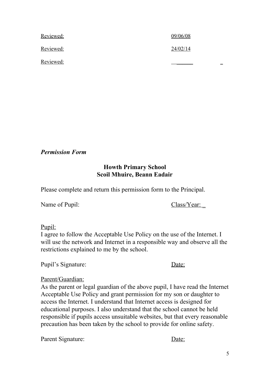| Reviewed: | 09/06/08 |
|-----------|----------|
| Reviewed: | 24/02/14 |
| Reviewed: | =        |

*Permission Form*

#### **Howth Primary School Scoil Mhuire, Beann Eadair**

Please complete and return this permission form to the Principal.

Name of Pupil: Class/Year:

Pupil:

I agree to follow the Acceptable Use Policy on the use of the Internet. I will use the network and Internet in a responsible way and observe all the restrictions explained to me by the school.

Pupil's Signature: Date:

#### Parent/Guardian:

As the parent or legal guardian of the above pupil, I have read the Internet Acceptable Use Policy and grant permission for my son or daughter to access the Internet. I understand that Internet access is designed for educational purposes. I also understand that the school cannot be held responsible if pupils access unsuitable websites, but that every reasonable precaution has been taken by the school to provide for online safety.

Parent Signature: Date: